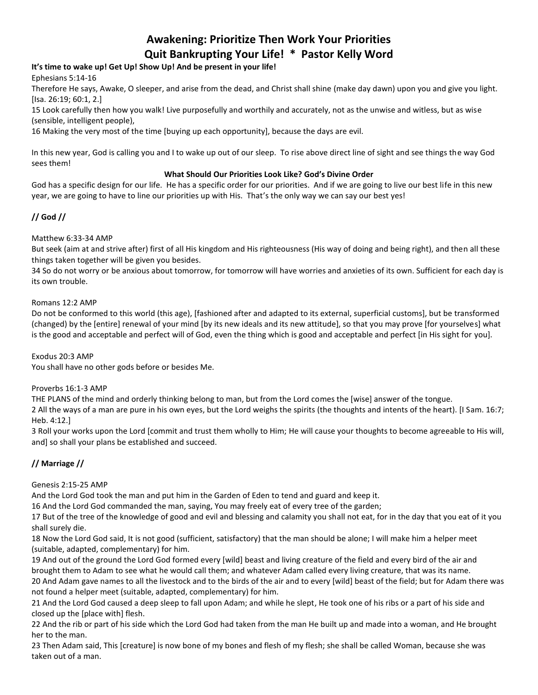# **Awakening: Prioritize Then Work Your Priorities Quit Bankrupting Your Life! \* Pastor Kelly Word**

# **It's time to wake up! Get Up! Show Up! And be present in your life!**

Ephesians 5:14-16

Therefore He says, Awake, O sleeper, and arise from the dead, and Christ shall shine (make day dawn) upon you and give you light. [Isa. 26:19; 60:1, 2.]

15 Look carefully then how you walk! Live purposefully and worthily and accurately, not as the unwise and witless, but as wise (sensible, intelligent people),

16 Making the very most of the time [buying up each opportunity], because the days are evil.

In this new year, God is calling you and I to wake up out of our sleep. To rise above direct line of sight and see things the way God sees them!

## **What Should Our Priorities Look Like? God's Divine Order**

God has a specific design for our life. He has a specific order for our priorities. And if we are going to live our best life in this new year, we are going to have to line our priorities up with His. That's the only way we can say our best yes!

# **// God //**

## Matthew 6:33-34 AMP

But seek (aim at and strive after) first of all His kingdom and His righteousness (His way of doing and being right), and then all these things taken together will be given you besides.

34 So do not worry or be anxious about tomorrow, for tomorrow will have worries and anxieties of its own. Sufficient for each day is its own trouble.

## Romans 12:2 AMP

Do not be conformed to this world (this age), [fashioned after and adapted to its external, superficial customs], but be transformed (changed) by the [entire] renewal of your mind [by its new ideals and its new attitude], so that you may prove [for yourselves] what is the good and acceptable and perfect will of God, even the thing which is good and acceptable and perfect [in His sight for you].

Exodus 20:3 AMP

You shall have no other gods before or besides Me.

### Proverbs 16:1-3 AMP

THE PLANS of the mind and orderly thinking belong to man, but from the Lord comes the [wise] answer of the tongue.

2 All the ways of a man are pure in his own eyes, but the Lord weighs the spirits (the thoughts and intents of the heart). [I Sam. 16:7; Heb. 4:12.]

3 Roll your works upon the Lord [commit and trust them wholly to Him; He will cause your thoughts to become agreeable to His will, and] so shall your plans be established and succeed.

# **// Marriage //**

# Genesis 2:15-25 AMP

And the Lord God took the man and put him in the Garden of Eden to tend and guard and keep it.

16 And the Lord God commanded the man, saying, You may freely eat of every tree of the garden;

17 But of the tree of the knowledge of good and evil and blessing and calamity you shall not eat, for in the day that you eat of it you shall surely die.

18 Now the Lord God said, It is not good (sufficient, satisfactory) that the man should be alone; I will make him a helper meet (suitable, adapted, complementary) for him.

19 And out of the ground the Lord God formed every [wild] beast and living creature of the field and every bird of the air and brought them to Adam to see what he would call them; and whatever Adam called every living creature, that was its name. 20 And Adam gave names to all the livestock and to the birds of the air and to every [wild] beast of the field; but for Adam there was not found a helper meet (suitable, adapted, complementary) for him.

21 And the Lord God caused a deep sleep to fall upon Adam; and while he slept, He took one of his ribs or a part of his side and closed up the [place with] flesh.

22 And the rib or part of his side which the Lord God had taken from the man He built up and made into a woman, and He brought her to the man.

23 Then Adam said, This [creature] is now bone of my bones and flesh of my flesh; she shall be called Woman, because she was taken out of a man.